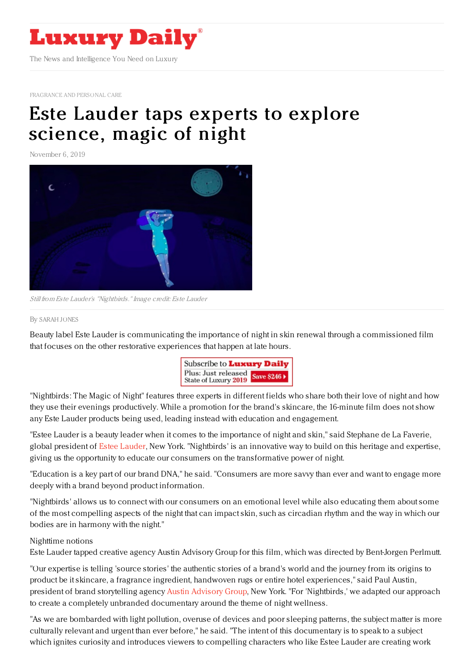

[FRAGRANCE](https://www.luxurydaily.com/category/sectors/fragrance-and-personal-care/) AND PERSONAL CARE

# Este Lauder taps experts to explore [science,](https://www.luxurydaily.com/estee-lauder-taps-experts-to-explore-science-magic-of-night/) magic of night

November 6, 2019



Still from Este Lauder's "Nightbirds."Image credit: Este Lauder

#### By [SARAH](file:///author/sarah-jones) JONES

Beauty label Este Lauder is communicating the importance of night in skin renewal through a commissioned film that focuses on the other restorative experiences that happen at late hours.



"Nightbirds: The Magic of Night" features three experts in different fields who share both their love of night and how they use their evenings productively. While a promotion for the brand's skincare, the 16-minute film does not show any Este Lauder products being used, leading instead with education and engagement.

"Estee Lauder is a beauty leader when it comes to the importance of night and skin," said Stephane de La Faverie, global president of Estee [Lauder](https://m.esteelauder.com/), New York. "Nightbirds' is an innovative way to build on this heritage and expertise, giving us the opportunity to educate our consumers on the transformative power of night.

"Education is a key part of our brand DNA," he said. "Consumers are more savvy than ever and want to engage more deeply with a brand beyond product information.

"Nightbirds' allows us to connect with our consumers on an emotional level while also educating them about some of the most compelling aspects of the night that can impact skin, such as circadian rhythm and the way in which our bodies are in harmony with the night."

### Nighttime notions

Este Lauder tapped creative agency Austin Advisory Group for this film, which was directed by Bent-Jorgen Perlmutt.

"Our expertise is telling 'source stories' the authentic stories of a brand's world and the journey from its origins to product be it skincare, a fragrance ingredient, handwoven rugs or entire hotel experiences," said Paul Austin, president of brand storytelling agency Austin [Advisory](http://austinadvisorygroup.com/) Group, New York. "For 'Nightbirds,' we adapted our approach to create a completely unbranded documentary around the theme of night wellness.

"As we are bombarded with light pollution, overuse of devices and poor sleeping patterns, the subject matter is more culturally relevant and urgent than ever before," he said. "The intent of this documentary is to speak to a subject which ignites curiosity and introduces viewers to compelling characters who like Estee Lauder are creating work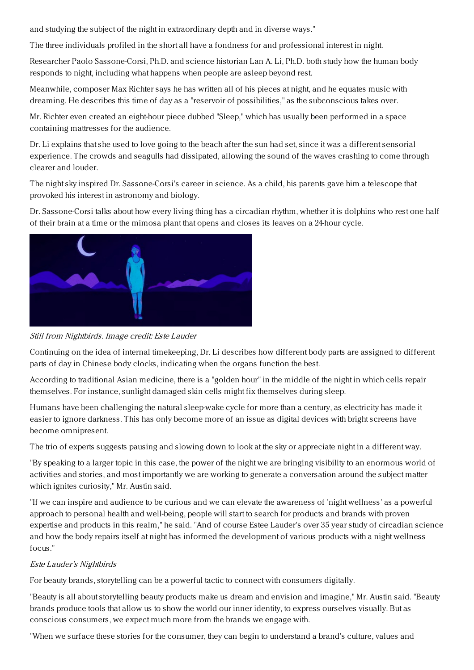and studying the subject of the night in extraordinary depth and in diverse ways."

The three individuals profiled in the short all have a fondness for and professional interest in night.

Researcher Paolo Sassone-Corsi, Ph.D. and science historian Lan A. Li, Ph.D. both study how the human body responds to night, including what happens when people are asleep beyond rest.

Meanwhile, composer Max Richter says he has written all of his pieces at night, and he equates music with dreaming. He describes this time of day as a "reservoir of possibilities," as the subconscious takes over.

Mr. Richter even created an eight-hour piece dubbed "Sleep," which has usually been performed in a space containing mattresses for the audience.

Dr. Li explains that she used to love going to the beach after the sun had set, since it was a different sensorial experience. The crowds and seagulls had dissipated, allowing the sound of the waves crashing to come through clearer and louder.

The night sky inspired Dr. Sassone-Corsi's career in science. As a child, his parents gave him a telescope that provoked his interest in astronomy and biology.

Dr. Sassone-Corsi talks about how every living thing has a circadian rhythm, whether it is dolphins who rest one half of their brain at a time or the mimosa plant that opens and closes its leaves on a 24-hour cycle.



Still from Nightbirds. Image credit: Este Lauder

Continuing on the idea of internal timekeeping, Dr. Li describes how different body parts are assigned to different parts of day in Chinese body clocks, indicating when the organs function the best.

According to traditional Asian medicine, there is a "golden hour" in the middle of the night in which cells repair themselves. For instance, sunlight damaged skin cells might fix themselves during sleep.

Humans have been challenging the natural sleep-wake cycle for more than a century, as electricity has made it easier to ignore darkness. This has only become more of an issue as digital devices with bright screens have become omnipresent.

The trio of experts suggests pausing and slowing down to look at the sky or appreciate night in a different way.

"By speaking to a larger topic in this case, the power of the night we are bringing visibility to an enormous world of activities and stories, and most importantly we are working to generate a conversation around the subject matter which ignites curiosity," Mr. Austin said.

"If we can inspire and audience to be curious and we can elevate the awareness of 'night wellness' as a powerful approach to personal health and well-being, people will start to search for products and brands with proven expertise and products in this realm," he said. "And of course Estee Lauder's over 35 year study of circadian science and how the body repairs itself at night has informed the development of various products with a night wellness focus."

## Este Lauder's Nightbirds

For beauty brands, storytelling can be a powerful tactic to connect with consumers digitally.

"Beauty is all about storytelling beauty products make us dream and envision and imagine," Mr. Austin said. "Beauty brands produce tools that allow us to show the world our inner identity, to express ourselves visually. But as conscious consumers, we expect much more from the brands we engage with.

"When we surface these stories for the consumer, they can begin to understand a brand's culture, values and